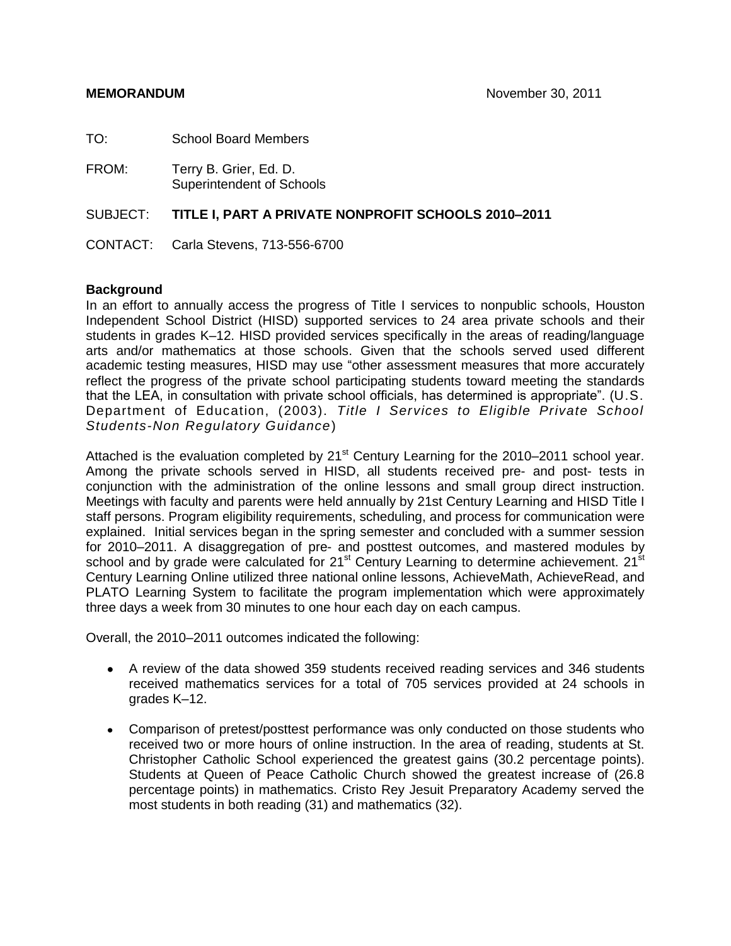| TO:   | <b>School Board Members</b>                                  |
|-------|--------------------------------------------------------------|
| FROM: | Terry B. Grier, Ed. D.<br><b>Superintendent of Schools</b>   |
|       | SUBJECT: TITLE I, PART A PRIVATE NONPROFIT SCHOOLS 2010-2011 |
|       | CONTACT: Carla Stevens, 713-556-6700                         |

#### **Background**

In an effort to annually access the progress of Title I services to nonpublic schools, Houston Independent School District (HISD) supported services to 24 area private schools and their students in grades K–12. HISD provided services specifically in the areas of reading/language arts and/or mathematics at those schools. Given that the schools served used different academic testing measures, HISD may use "other assessment measures that more accurately reflect the progress of the private school participating students toward meeting the standards that the LEA, in consultation with private school officials, has determined is appropriate". (U.S. Department of Education, (2003). *Title I Services to Eligible Private School Students-Non Regulatory Guidance*)

Attached is the evaluation completed by  $21<sup>st</sup>$  Century Learning for the 2010–2011 school year. Among the private schools served in HISD, all students received pre- and post- tests in conjunction with the administration of the online lessons and small group direct instruction. Meetings with faculty and parents were held annually by 21st Century Learning and HISD Title I staff persons. Program eligibility requirements, scheduling, and process for communication were explained. Initial services began in the spring semester and concluded with a summer session for 2010–2011. A disaggregation of pre- and posttest outcomes, and mastered modules by school and by grade were calculated for 21<sup>st</sup> Century Learning to determine achievement. 21<sup>st</sup> Century Learning Online utilized three national online lessons, AchieveMath, AchieveRead, and PLATO Learning System to facilitate the program implementation which were approximately three days a week from 30 minutes to one hour each day on each campus.

Overall, the 2010–2011 outcomes indicated the following:

- A review of the data showed 359 students received reading services and 346 students received mathematics services for a total of 705 services provided at 24 schools in grades K–12.
- Comparison of pretest/posttest performance was only conducted on those students who received two or more hours of online instruction. In the area of reading, students at St. Christopher Catholic School experienced the greatest gains (30.2 percentage points). Students at Queen of Peace Catholic Church showed the greatest increase of (26.8 percentage points) in mathematics. Cristo Rey Jesuit Preparatory Academy served the most students in both reading (31) and mathematics (32).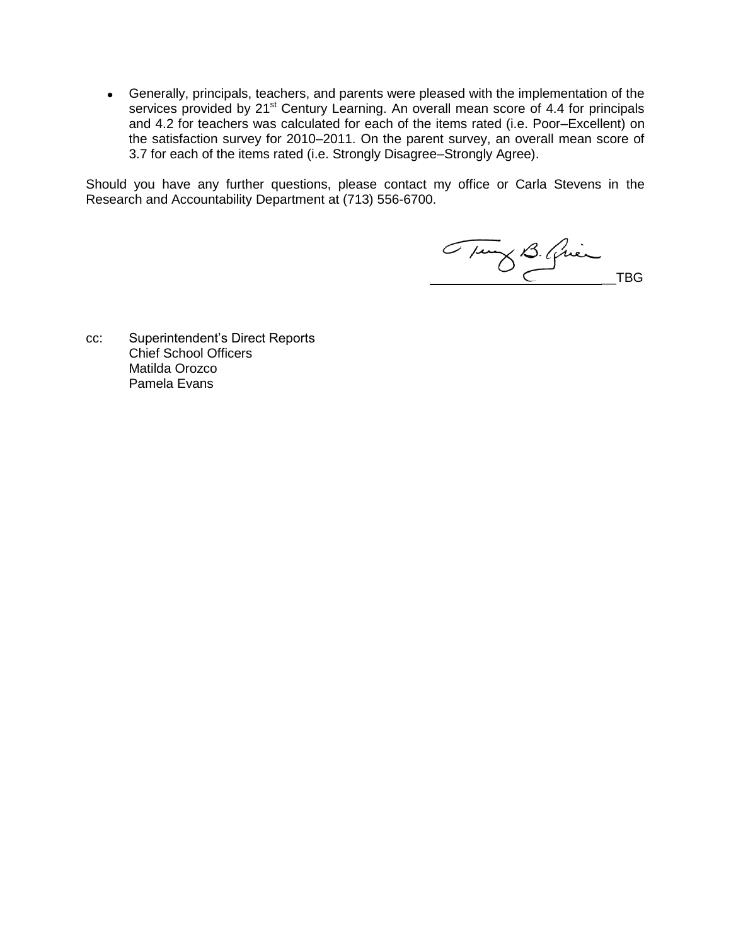Generally, principals, teachers, and parents were pleased with the implementation of the services provided by 21<sup>st</sup> Century Learning. An overall mean score of 4.4 for principals and 4.2 for teachers was calculated for each of the items rated (i.e. Poor–Excellent) on the satisfaction survey for 2010–2011. On the parent survey, an overall mean score of 3.7 for each of the items rated (i.e. Strongly Disagree–Strongly Agree).

Should you have any further questions, please contact my office or Carla Stevens in the Research and Accountability Department at (713) 556-6700.

Tung B. Quien

cc: Superintendent's Direct Reports Chief School Officers Matilda Orozco Pamela Evans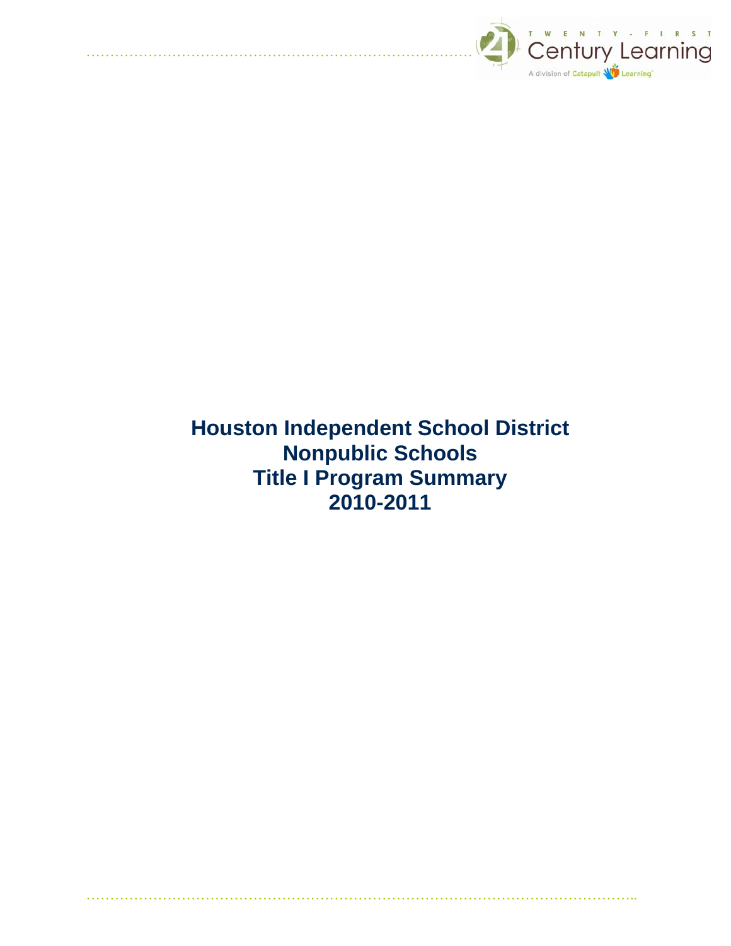

 **Houston Independent School District Nonpublic Schools Title I Program Summary 2010-2011**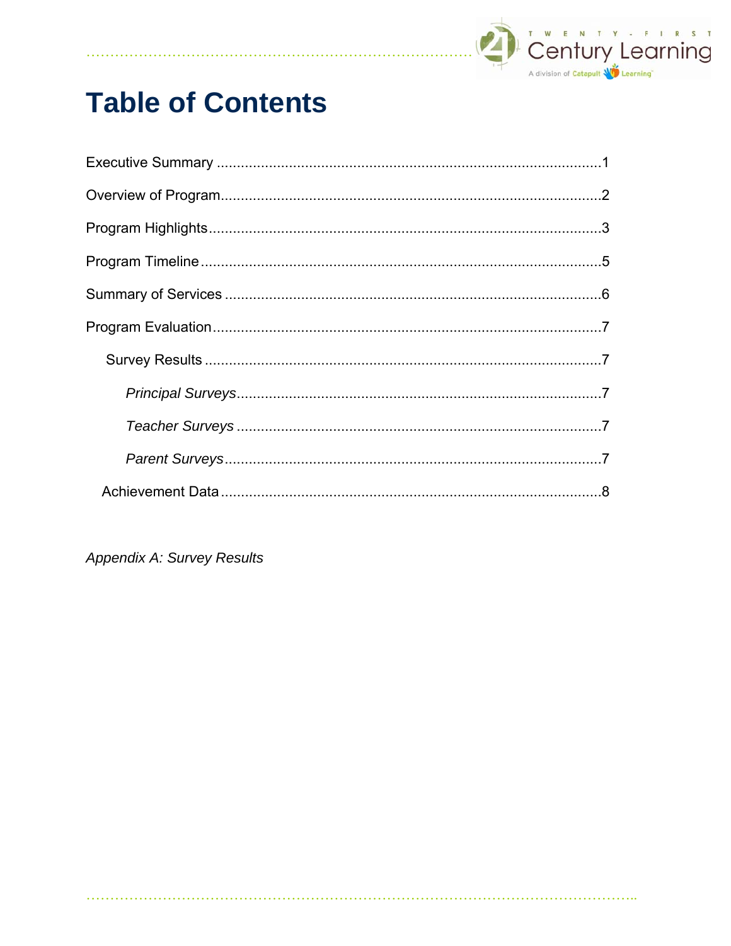

# **Table of Contents**

**Appendix A: Survey Results** 

. . . . . . . . . . . . . . . . . . .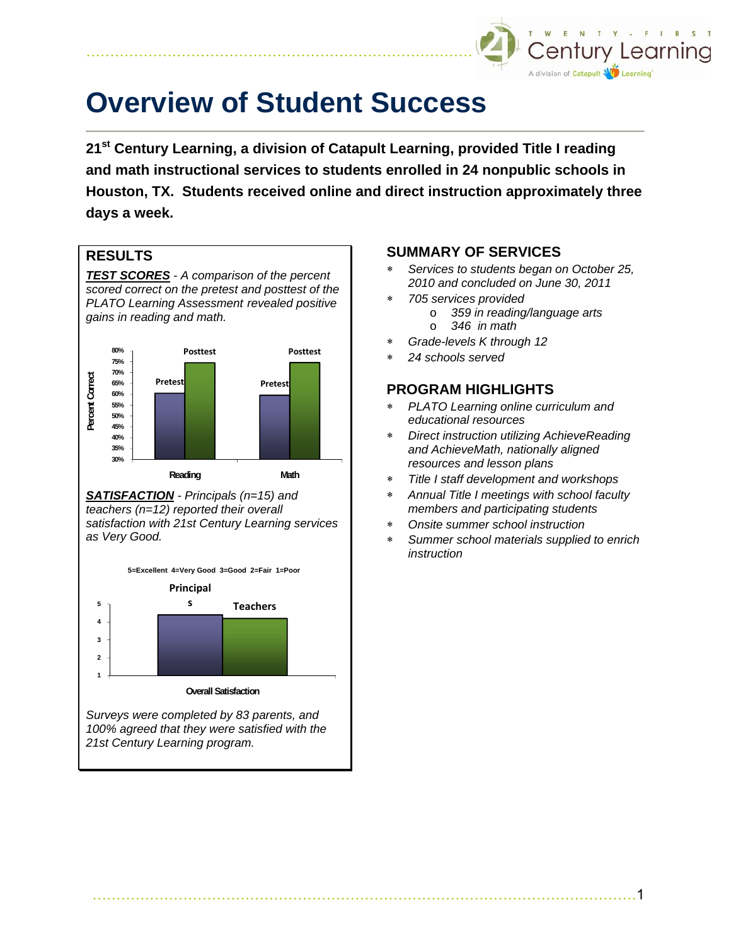

# **Overview of Student Success**

**21st Century Learning, a division of Catapult Learning, provided Title I reading and math instructional services to students enrolled in 24 nonpublic schools in Houston, TX. Students received online and direct instruction approximately three days a week.** 

#### **RESULTS**

*TEST SCORES - A comparison of the percent scored correct on the pretest and posttest of the PLATO Learning Assessment revealed positive gains in reading and math.* 



*SATISFACTION - Principals (n=15) and teachers (n=12) reported their overall satisfaction with 21st Century Learning services as Very Good.* 

**5=Excellent 4=Very Good 3=Good 2=Fair 1=Poor**



*Surveys were completed by 83 parents, and 100% agreed that they were satisfied with the 21st Century Learning program.* 

#### **SUMMARY OF SERVICES**

- ∗ *Services to students began on October 25, 2010 and concluded on June 30, 2011*
- ∗ *705 services provided* 
	- o *359 in reading/language arts*
	- o *346 in math*
- ∗ *Grade-levels K through 12*
- ∗ *24 schools served*

#### **PROGRAM HIGHLIGHTS**

- ∗ *PLATO Learning online curriculum and educational resources*
- ∗ *Direct instruction utilizing AchieveReading and AchieveMath, nationally aligned resources and lesson plans*
- ∗ *Title I staff development and workshops*
- ∗ *Annual Title I meetings with school faculty members and participating students*
- ∗ *Onsite summer school instruction*
- ∗ *Summer school materials supplied to enrich instruction*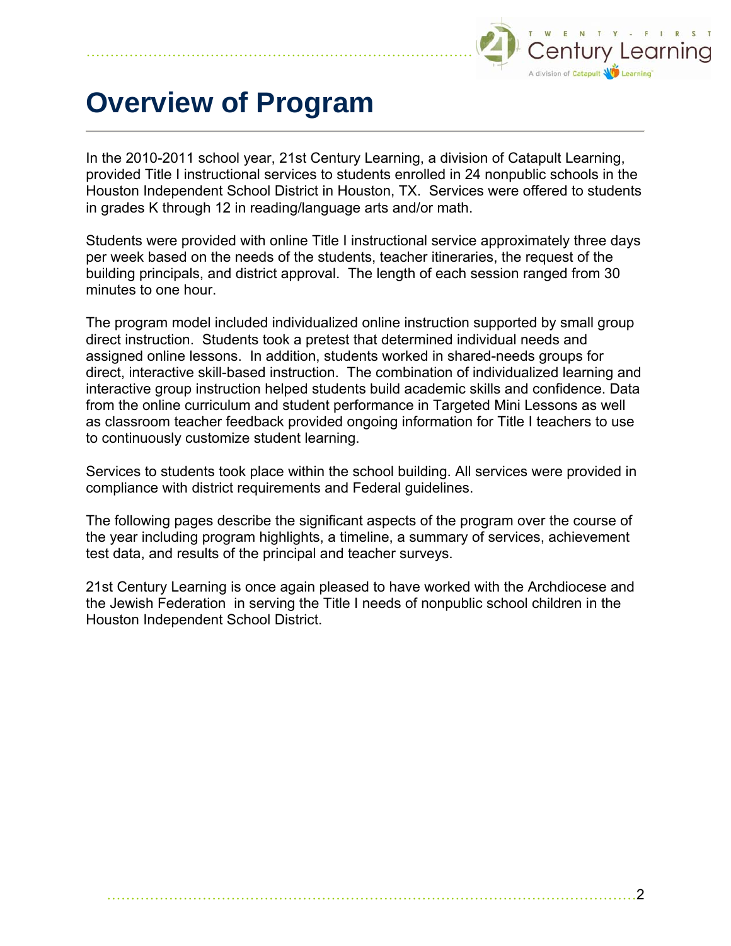

# **Overview of Program**

In the 2010-2011 school year, 21st Century Learning, a division of Catapult Learning, provided Title I instructional services to students enrolled in 24 nonpublic schools in the Houston Independent School District in Houston, TX. Services were offered to students in grades K through 12 in reading/language arts and/or math.

Students were provided with online Title I instructional service approximately three days per week based on the needs of the students, teacher itineraries, the request of the building principals, and district approval. The length of each session ranged from 30 minutes to one hour.

The program model included individualized online instruction supported by small group direct instruction. Students took a pretest that determined individual needs and assigned online lessons. In addition, students worked in shared-needs groups for direct, interactive skill-based instruction. The combination of individualized learning and interactive group instruction helped students build academic skills and confidence. Data from the online curriculum and student performance in Targeted Mini Lessons as well as classroom teacher feedback provided ongoing information for Title I teachers to use to continuously customize student learning.

Services to students took place within the school building. All services were provided in compliance with district requirements and Federal guidelines.

The following pages describe the significant aspects of the program over the course of the year including program highlights, a timeline, a summary of services, achievement test data, and results of the principal and teacher surveys.

21st Century Learning is once again pleased to have worked with the Archdiocese and the Jewish Federation in serving the Title I needs of nonpublic school children in the Houston Independent School District.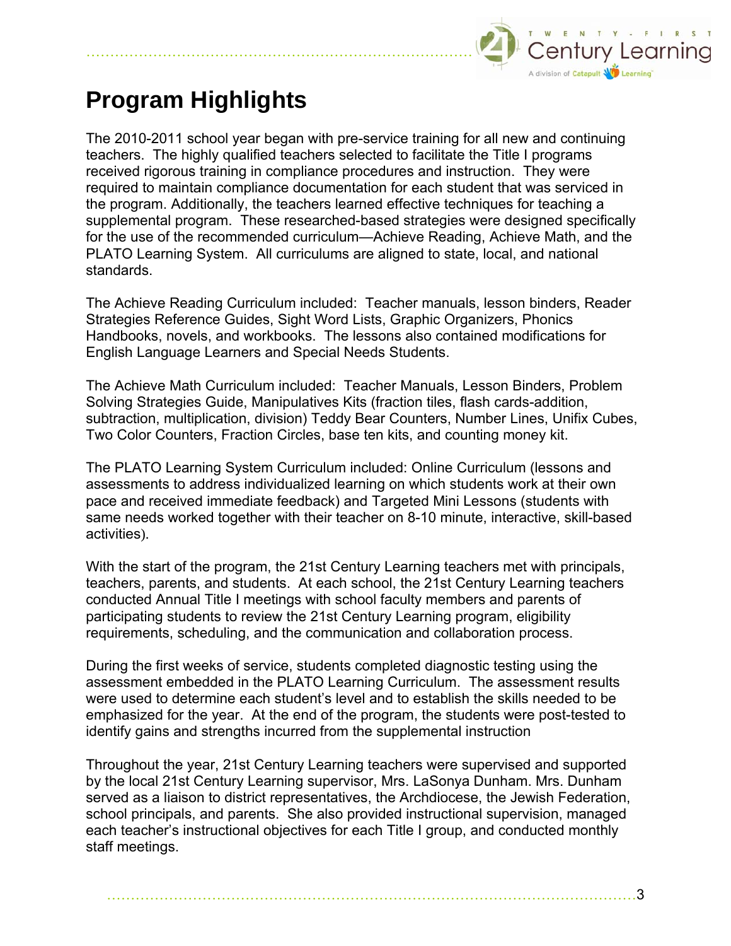

## **Program Highlights**

The 2010-2011 school year began with pre-service training for all new and continuing teachers. The highly qualified teachers selected to facilitate the Title I programs received rigorous training in compliance procedures and instruction. They were required to maintain compliance documentation for each student that was serviced in the program. Additionally, the teachers learned effective techniques for teaching a supplemental program. These researched-based strategies were designed specifically for the use of the recommended curriculum—Achieve Reading, Achieve Math, and the PLATO Learning System. All curriculums are aligned to state, local, and national standards.

The Achieve Reading Curriculum included: Teacher manuals, lesson binders, Reader Strategies Reference Guides, Sight Word Lists, Graphic Organizers, Phonics Handbooks, novels, and workbooks. The lessons also contained modifications for English Language Learners and Special Needs Students.

The Achieve Math Curriculum included: Teacher Manuals, Lesson Binders, Problem Solving Strategies Guide, Manipulatives Kits (fraction tiles, flash cards-addition, subtraction, multiplication, division) Teddy Bear Counters, Number Lines, Unifix Cubes, Two Color Counters, Fraction Circles, base ten kits, and counting money kit.

The PLATO Learning System Curriculum included: Online Curriculum (lessons and assessments to address individualized learning on which students work at their own pace and received immediate feedback) and Targeted Mini Lessons (students with same needs worked together with their teacher on 8-10 minute, interactive, skill-based activities).

With the start of the program, the 21st Century Learning teachers met with principals, teachers, parents, and students. At each school, the 21st Century Learning teachers conducted Annual Title I meetings with school faculty members and parents of participating students to review the 21st Century Learning program, eligibility requirements, scheduling, and the communication and collaboration process.

During the first weeks of service, students completed diagnostic testing using the assessment embedded in the PLATO Learning Curriculum. The assessment results were used to determine each student's level and to establish the skills needed to be emphasized for the year. At the end of the program, the students were post-tested to identify gains and strengths incurred from the supplemental instruction

Throughout the year, 21st Century Learning teachers were supervised and supported by the local 21st Century Learning supervisor, Mrs. LaSonya Dunham. Mrs. Dunham served as a liaison to district representatives, the Archdiocese, the Jewish Federation, school principals, and parents. She also provided instructional supervision, managed each teacher's instructional objectives for each Title I group, and conducted monthly staff meetings.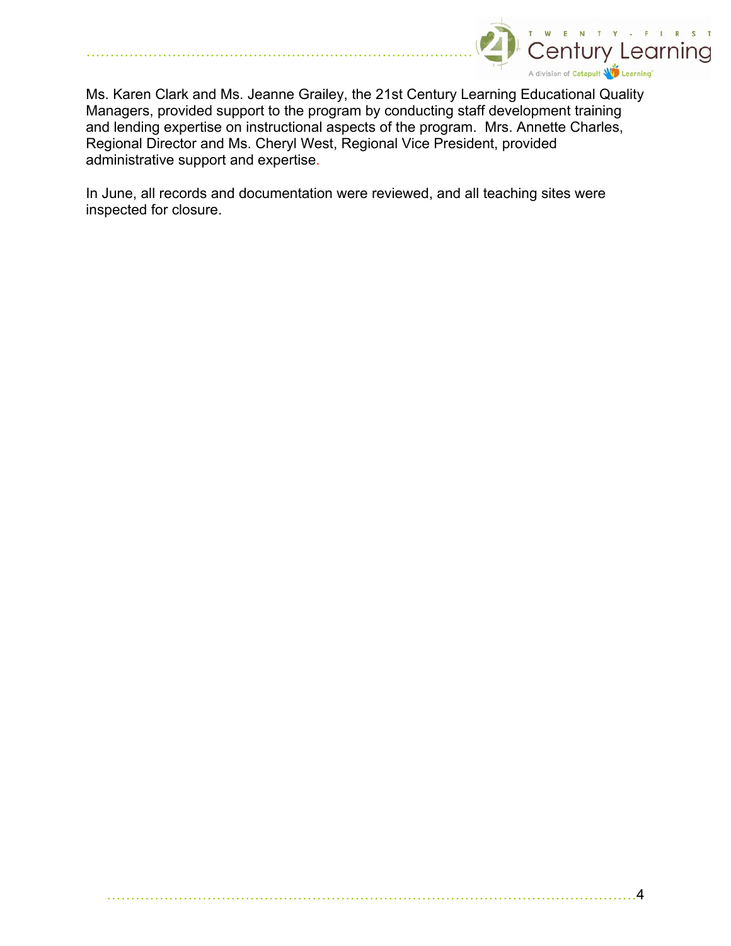

Ms. Karen Clark and Ms. Jeanne Grailey, the 21st Century Learning Educational Quality Managers, provided support to the program by conducting staff development training and lending expertise on instructional aspects of the program. Mrs. Annette Charles, Regional Director and Ms. Cheryl West, Regional Vice President, provided administrative support and expertise.

…………………………………………………………………………………………………4

In June, all records and documentation were reviewed, and all teaching sites were inspected for closure.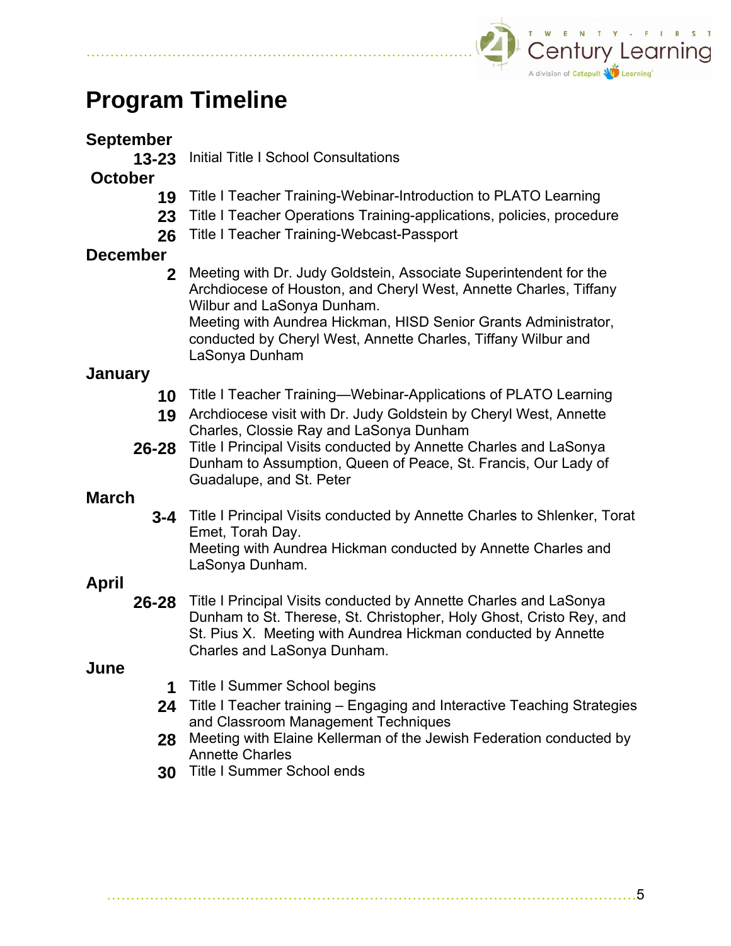

## **Program Timeline**

## **September**

**13-23** Initial Title I School Consultations

## **October**

- **19** Title I Teacher Training-Webinar-Introduction to PLATO Learning
- 23 Title I Teacher Operations Training-applications, policies, procedure
- **26** Title I Teacher Training-Webcast-Passport

## **December**

**2** Meeting with Dr. Judy Goldstein, Associate Superintendent for the Archdiocese of Houston, and Cheryl West, Annette Charles, Tiffany Wilbur and LaSonya Dunham.

Meeting with Aundrea Hickman, HISD Senior Grants Administrator, conducted by Cheryl West, Annette Charles, Tiffany Wilbur and LaSonya Dunham

## **January**

- **10** Title I Teacher Training—Webinar-Applications of PLATO Learning
- **19** Archdiocese visit with Dr. Judy Goldstein by Cheryl West, Annette Charles, Clossie Ray and LaSonya Dunham
- **26-28** Title I Principal Visits conducted by Annette Charles and LaSonya Dunham to Assumption, Queen of Peace, St. Francis, Our Lady of Guadalupe, and St. Peter

## **March**

**3-4** Title I Principal Visits conducted by Annette Charles to Shlenker, Torat Emet, Torah Day. Meeting with Aundrea Hickman conducted by Annette Charles and LaSonya Dunham.

## **April**

**26-28** Title I Principal Visits conducted by Annette Charles and LaSonya Dunham to St. Therese, St. Christopher, Holy Ghost, Cristo Rey, and St. Pius X. Meeting with Aundrea Hickman conducted by Annette Charles and LaSonya Dunham.

## **June**

- **1** Title I Summer School begins
- **24** Title I Teacher training Engaging and Interactive Teaching Strategies and Classroom Management Techniques
- **28** Meeting with Elaine Kellerman of the Jewish Federation conducted by Annette Charles
- **30** Title I Summer School ends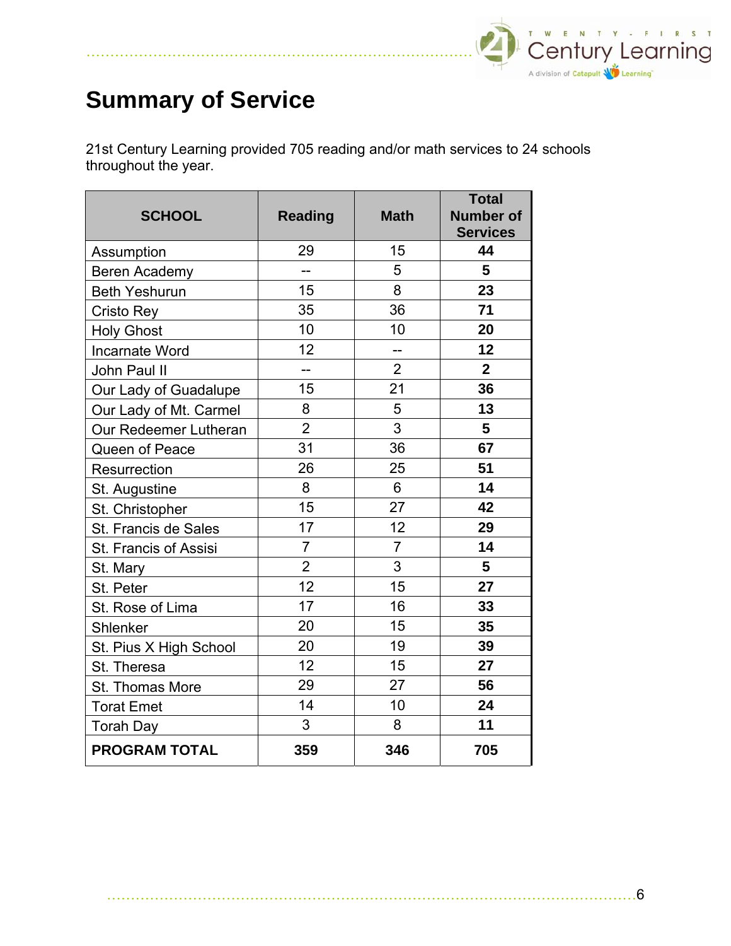

## **Summary of Service**

21st Century Learning provided 705 reading and/or math services to 24 schools throughout the year.

| <b>SCHOOL</b>          | <b>Reading</b> | <b>Math</b>    | <b>Total</b><br><b>Number of</b><br><b>Services</b> |
|------------------------|----------------|----------------|-----------------------------------------------------|
| Assumption             | 29             | 15             | 44                                                  |
| Beren Academy          |                | 5              | 5                                                   |
| <b>Beth Yeshurun</b>   | 15             | 8              | 23                                                  |
| Cristo Rey             | 35             | 36             | 71                                                  |
| <b>Holy Ghost</b>      | 10             | 10             | 20                                                  |
| <b>Incarnate Word</b>  | 12             | --             | 12                                                  |
| John Paul II           | $-$            | $\overline{2}$ | $\mathbf{2}$                                        |
| Our Lady of Guadalupe  | 15             | 21             | 36                                                  |
| Our Lady of Mt. Carmel | 8              | 5              | 13                                                  |
| Our Redeemer Lutheran  | $\overline{2}$ | 3              | 5                                                   |
| Queen of Peace         | 31             | 36             | 67                                                  |
| Resurrection           | 26             | 25             | 51                                                  |
| St. Augustine          | 8              | 6              | 14                                                  |
| St. Christopher        | 15             | 27             | 42                                                  |
| St. Francis de Sales   | 17             | 12             | 29                                                  |
| St. Francis of Assisi  | $\overline{7}$ | $\overline{7}$ | 14                                                  |
| St. Mary               | $\overline{2}$ | 3              | 5                                                   |
| St. Peter              | 12             | 15             | 27                                                  |
| St. Rose of Lima       | 17             | 16             | 33                                                  |
| Shlenker               | 20             | 15             | 35                                                  |
| St. Pius X High School | 20             | 19             | 39                                                  |
| St. Theresa            | 12             | 15             | 27                                                  |
| St. Thomas More        | 29             | 27             | 56                                                  |
| <b>Torat Emet</b>      | 14             | 10             | 24                                                  |
| <b>Torah Day</b>       | 3              | 8              | 11                                                  |
| <b>PROGRAM TOTAL</b>   | 359            | 346            | 705                                                 |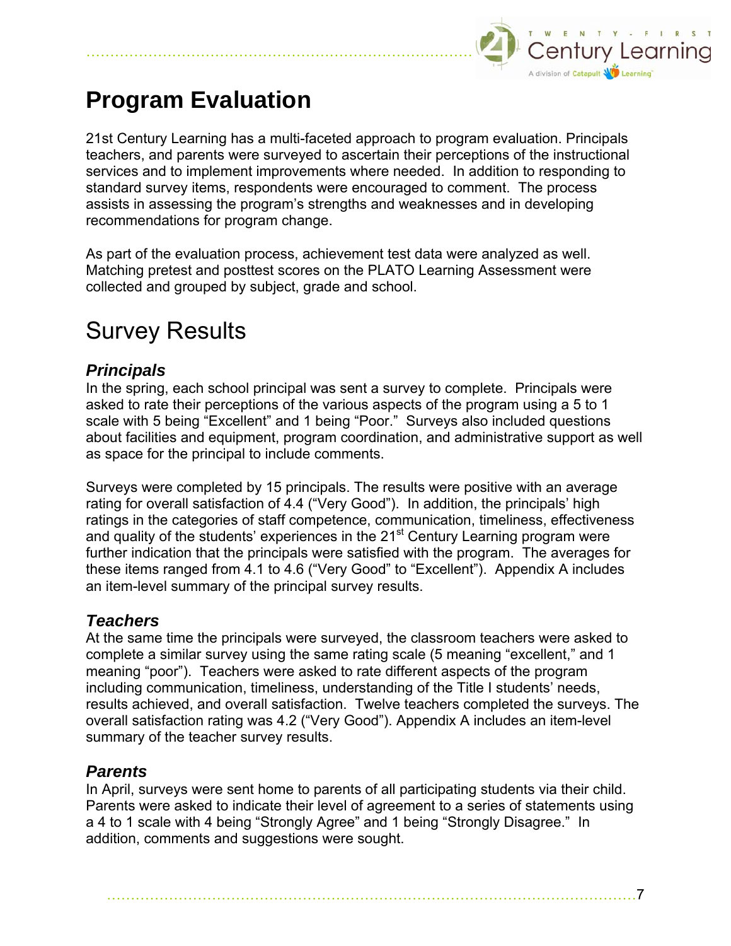

## **Program Evaluation**

21st Century Learning has a multi-faceted approach to program evaluation. Principals teachers, and parents were surveyed to ascertain their perceptions of the instructional services and to implement improvements where needed. In addition to responding to standard survey items, respondents were encouraged to comment. The process assists in assessing the program's strengths and weaknesses and in developing recommendations for program change.

As part of the evaluation process, achievement test data were analyzed as well. Matching pretest and posttest scores on the PLATO Learning Assessment were collected and grouped by subject, grade and school.

## Survey Results

## *Principals*

In the spring, each school principal was sent a survey to complete. Principals were asked to rate their perceptions of the various aspects of the program using a 5 to 1 scale with 5 being "Excellent" and 1 being "Poor." Surveys also included questions about facilities and equipment, program coordination, and administrative support as well as space for the principal to include comments.

Surveys were completed by 15 principals. The results were positive with an average rating for overall satisfaction of 4.4 ("Very Good"). In addition, the principals' high ratings in the categories of staff competence, communication, timeliness, effectiveness and quality of the students' experiences in the 21<sup>st</sup> Century Learning program were further indication that the principals were satisfied with the program. The averages for these items ranged from 4.1 to 4.6 ("Very Good" to "Excellent"). Appendix A includes an item-level summary of the principal survey results.

## *Teachers*

At the same time the principals were surveyed, the classroom teachers were asked to complete a similar survey using the same rating scale (5 meaning "excellent," and 1 meaning "poor"). Teachers were asked to rate different aspects of the program including communication, timeliness, understanding of the Title I students' needs, results achieved, and overall satisfaction. Twelve teachers completed the surveys. The overall satisfaction rating was 4.2 ("Very Good"). Appendix A includes an item-level summary of the teacher survey results.

## *Parents*

In April, surveys were sent home to parents of all participating students via their child. Parents were asked to indicate their level of agreement to a series of statements using a 4 to 1 scale with 4 being "Strongly Agree" and 1 being "Strongly Disagree." In addition, comments and suggestions were sought.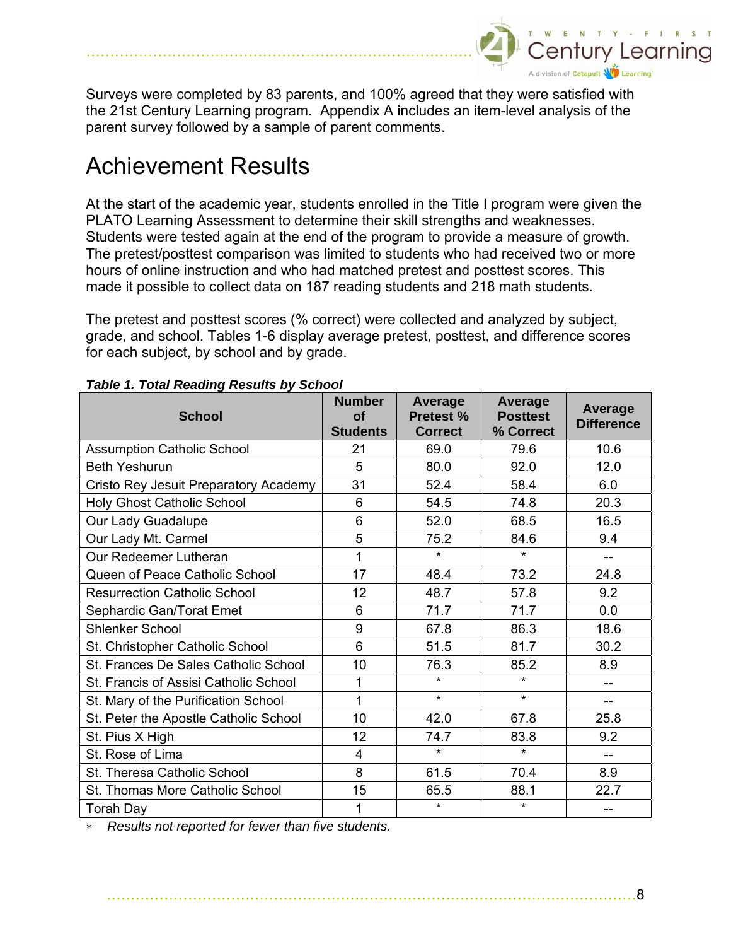

Surveys were completed by 83 parents, and 100% agreed that they were satisfied with the 21st Century Learning program. Appendix A includes an item-level analysis of the parent survey followed by a sample of parent comments.

## Achievement Results

At the start of the academic year, students enrolled in the Title I program were given the PLATO Learning Assessment to determine their skill strengths and weaknesses. Students were tested again at the end of the program to provide a measure of growth. The pretest/posttest comparison was limited to students who had received two or more hours of online instruction and who had matched pretest and posttest scores. This made it possible to collect data on 187 reading students and 218 math students.

The pretest and posttest scores (% correct) were collected and analyzed by subject, grade, and school. Tables 1-6 display average pretest, posttest, and difference scores for each subject, by school and by grade.

| <b>School</b>                         | <b>Number</b><br><b>of</b><br><b>Students</b> | Average<br><b>Pretest %</b><br><b>Correct</b> | <b>Average</b><br><b>Posttest</b><br>% Correct | <b>Average</b><br><b>Difference</b> |
|---------------------------------------|-----------------------------------------------|-----------------------------------------------|------------------------------------------------|-------------------------------------|
| <b>Assumption Catholic School</b>     | 21                                            | 69.0                                          | 79.6                                           | 10.6                                |
| <b>Beth Yeshurun</b>                  | 5                                             | 80.0                                          | 92.0                                           | 12.0                                |
| Cristo Rey Jesuit Preparatory Academy | 31                                            | 52.4                                          | 58.4                                           | 6.0                                 |
| <b>Holy Ghost Catholic School</b>     | 6                                             | 54.5                                          | 74.8                                           | 20.3                                |
| Our Lady Guadalupe                    | 6                                             | 52.0                                          | 68.5                                           | 16.5                                |
| Our Lady Mt. Carmel                   | 5                                             | 75.2                                          | 84.6                                           | 9.4                                 |
| Our Redeemer Lutheran                 | 1                                             | $\star$                                       | $\star$                                        | $-$                                 |
| Queen of Peace Catholic School        | 17                                            | 48.4                                          | 73.2                                           | 24.8                                |
| <b>Resurrection Catholic School</b>   | 12                                            | 48.7                                          | 57.8                                           | 9.2                                 |
| Sephardic Gan/Torat Emet              | 6                                             | 71.7                                          | 71.7                                           | 0.0                                 |
| Shlenker School                       | 9                                             | 67.8                                          | 86.3                                           | 18.6                                |
| St. Christopher Catholic School       | 6                                             | 51.5                                          | 81.7                                           | 30.2                                |
| St. Frances De Sales Catholic School  | 10                                            | 76.3                                          | 85.2                                           | 8.9                                 |
| St. Francis of Assisi Catholic School | 1                                             | $\star$                                       | $\star$                                        | $-$                                 |
| St. Mary of the Purification School   | 1                                             | $\star$                                       | $\star$                                        | $-$                                 |
| St. Peter the Apostle Catholic School | 10                                            | 42.0                                          | 67.8                                           | 25.8                                |
| St. Pius X High                       | 12                                            | 74.7                                          | 83.8                                           | 9.2                                 |
| St. Rose of Lima                      | 4                                             | $\star$                                       | $\star$                                        | --                                  |
| St. Theresa Catholic School           | 8                                             | 61.5                                          | 70.4                                           | 8.9                                 |
| St. Thomas More Catholic School       | 15                                            | 65.5                                          | 88.1                                           | 22.7                                |
| <b>Torah Day</b>                      | 1                                             | $\star$                                       | $\star$                                        | --                                  |

#### *Table 1. Total Reading Results by School*

∗ *Results not reported for fewer than five students.*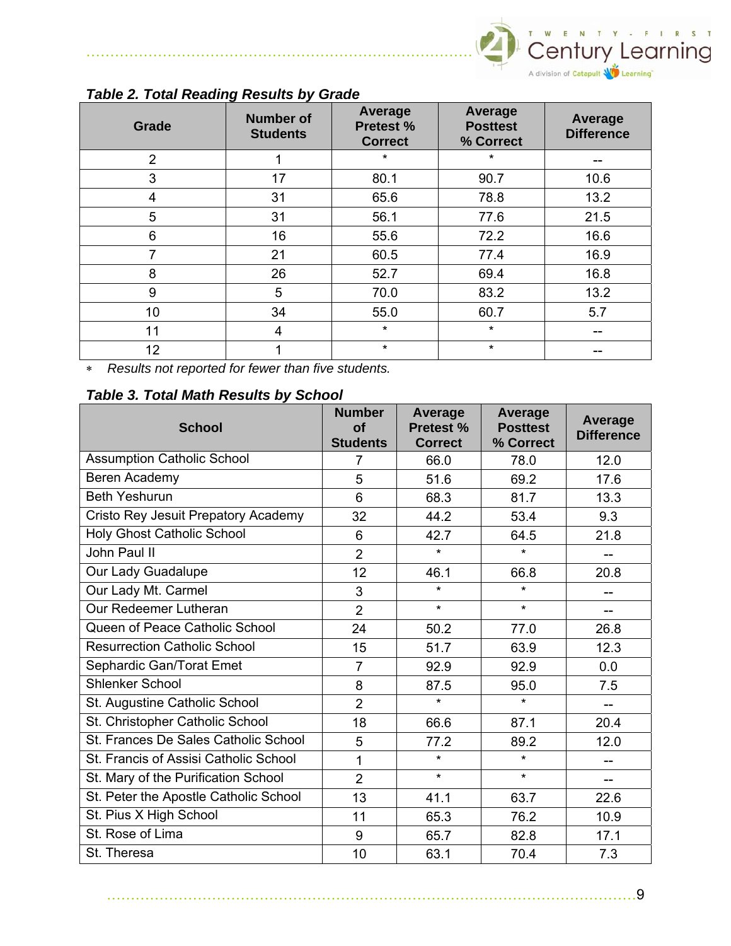

| Grade          | <b>Number of</b><br><b>Students</b> | Average<br><b>Pretest %</b><br><b>Correct</b> | Average<br><b>Posttest</b><br>% Correct | Average<br><b>Difference</b> |
|----------------|-------------------------------------|-----------------------------------------------|-----------------------------------------|------------------------------|
| $\overline{2}$ |                                     | $\star$                                       | $\star$                                 | --                           |
| 3              | 17                                  | 80.1                                          | 90.7                                    | 10.6                         |
| 4              | 31                                  | 65.6                                          | 78.8                                    | 13.2                         |
| 5              | 31                                  | 56.1                                          | 77.6                                    | 21.5                         |
| 6              | 16                                  | 55.6                                          | 72.2                                    | 16.6                         |
| 7              | 21                                  | 60.5                                          | 77.4                                    | 16.9                         |
| 8              | 26                                  | 52.7                                          | 69.4                                    | 16.8                         |
| 9              | 5                                   | 70.0                                          | 83.2                                    | 13.2                         |
| 10             | 34                                  | 55.0                                          | 60.7                                    | 5.7                          |
| 11             | 4                                   | $\star$                                       | $\star$                                 |                              |
| 12             |                                     | $\star$                                       | $\star$                                 |                              |

#### *Table 2. Total Reading Results by Grade*

∗ *Results not reported for fewer than five students.* 

#### *Table 3. Total Math Results by School*

| <b>School</b>                         | <b>Number</b><br><b>of</b><br><b>Students</b> | <b>Average</b><br>Pretest %<br><b>Correct</b> | <b>Average</b><br><b>Posttest</b><br>% Correct | Average<br><b>Difference</b> |
|---------------------------------------|-----------------------------------------------|-----------------------------------------------|------------------------------------------------|------------------------------|
| <b>Assumption Catholic School</b>     | $\overline{7}$                                | 66.0                                          | 78.0                                           | 12.0                         |
| Beren Academy                         | 5                                             | 51.6                                          | 69.2                                           | 17.6                         |
| <b>Beth Yeshurun</b>                  | 6                                             | 68.3                                          | 81.7                                           | 13.3                         |
| Cristo Rey Jesuit Prepatory Academy   | 32                                            | 44.2                                          | 53.4                                           | 9.3                          |
| <b>Holy Ghost Catholic School</b>     | 6                                             | 42.7                                          | 64.5                                           | 21.8                         |
| John Paul II                          | $\overline{2}$                                | $\star$                                       | $\star$                                        |                              |
| Our Lady Guadalupe                    | 12                                            | 46.1                                          | 66.8                                           | 20.8                         |
| Our Lady Mt. Carmel                   | 3                                             | $\star$                                       | $\star$                                        |                              |
| Our Redeemer Lutheran                 | $\overline{2}$                                | $\star$                                       | $\star$                                        |                              |
| Queen of Peace Catholic School        | 24                                            | 50.2                                          | 77.0                                           | 26.8                         |
| <b>Resurrection Catholic School</b>   | 15                                            | 51.7                                          | 63.9                                           | 12.3                         |
| Sephardic Gan/Torat Emet              | $\overline{7}$                                | 92.9                                          | 92.9                                           | 0.0                          |
| <b>Shlenker School</b>                | 8                                             | 87.5                                          | 95.0                                           | 7.5                          |
| St. Augustine Catholic School         | $\overline{2}$                                | $\star$                                       | $\star$                                        | $-$                          |
| St. Christopher Catholic School       | 18                                            | 66.6                                          | 87.1                                           | 20.4                         |
| St. Frances De Sales Catholic School  | 5                                             | 77.2                                          | 89.2                                           | 12.0                         |
| St. Francis of Assisi Catholic School | $\mathbf 1$                                   | $\star$                                       | $\star$                                        |                              |
| St. Mary of the Purification School   | $\overline{2}$                                | $\star$                                       | $\star$                                        |                              |
| St. Peter the Apostle Catholic School | 13                                            | 41.1                                          | 63.7                                           | 22.6                         |
| St. Pius X High School                | 11                                            | 65.3                                          | 76.2                                           | 10.9                         |
| St. Rose of Lima                      | 9                                             | 65.7                                          | 82.8                                           | 17.1                         |
| St. Theresa                           | 10                                            | 63.1                                          | 70.4                                           | 7.3                          |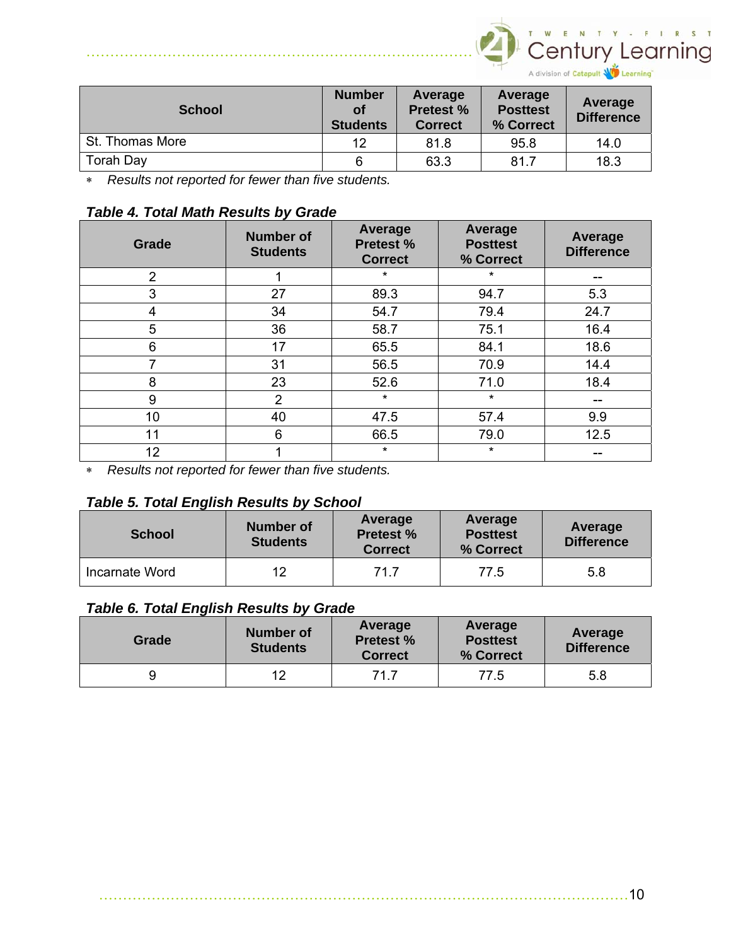

| <b>School</b>   | <b>Number</b><br>οf<br><b>Students</b> | Average<br><b>Pretest %</b><br><b>Correct</b> | Average<br><b>Posttest</b><br>% Correct | Average<br><b>Difference</b> |
|-----------------|----------------------------------------|-----------------------------------------------|-----------------------------------------|------------------------------|
| St. Thomas More | 12                                     | 81.8                                          | 95.8                                    | 14.0                         |
| Torah Day       | 6                                      | 63.3                                          | 81.7                                    | 18.3                         |

∗ *Results not reported for fewer than five students.* 

#### *Table 4. Total Math Results by Grade*

| Grade          | <b>Number of</b><br><b>Students</b> | Average<br><b>Pretest %</b><br><b>Correct</b> | <b>Average</b><br><b>Posttest</b><br>% Correct | <b>Average</b><br><b>Difference</b> |
|----------------|-------------------------------------|-----------------------------------------------|------------------------------------------------|-------------------------------------|
| $\overline{2}$ |                                     | $\star$                                       | $\star$                                        |                                     |
| 3              | 27                                  | 89.3                                          | 94.7                                           | 5.3                                 |
| 4              | 34                                  | 54.7                                          | 79.4                                           | 24.7                                |
| 5              | 36                                  | 58.7                                          | 75.1                                           | 16.4                                |
| 6              | 17                                  | 65.5                                          | 84.1                                           | 18.6                                |
| 7              | 31                                  | 56.5                                          | 70.9                                           | 14.4                                |
| 8              | 23                                  | 52.6                                          | 71.0                                           | 18.4                                |
| 9              | 2                                   | $\star$                                       | $\star$                                        |                                     |
| 10             | 40                                  | 47.5                                          | 57.4                                           | 9.9                                 |
| 11             | 6                                   | 66.5                                          | 79.0                                           | 12.5                                |
| 12             |                                     | $^\star$                                      | $^\star$                                       |                                     |

∗ *Results not reported for fewer than five students.* 

#### *Table 5. Total English Results by School*

| <b>School</b>  | <b>Number of</b><br><b>Students</b> | Average<br><b>Pretest %</b><br><b>Correct</b> | Average<br><b>Posttest</b><br>% Correct | Average<br><b>Difference</b> |
|----------------|-------------------------------------|-----------------------------------------------|-----------------------------------------|------------------------------|
| Incarnate Word | 12                                  | 71.7                                          | 77.5                                    | 5.8                          |

#### *Table 6. Total English Results by Grade*

| Grade | <b>Number of</b><br><b>Students</b> | Average<br><b>Pretest %</b><br><b>Correct</b> | Average<br><b>Posttest</b><br>% Correct | Average<br><b>Difference</b> |
|-------|-------------------------------------|-----------------------------------------------|-----------------------------------------|------------------------------|
|       | 12                                  | 71.7                                          | 77.5                                    | 5.8                          |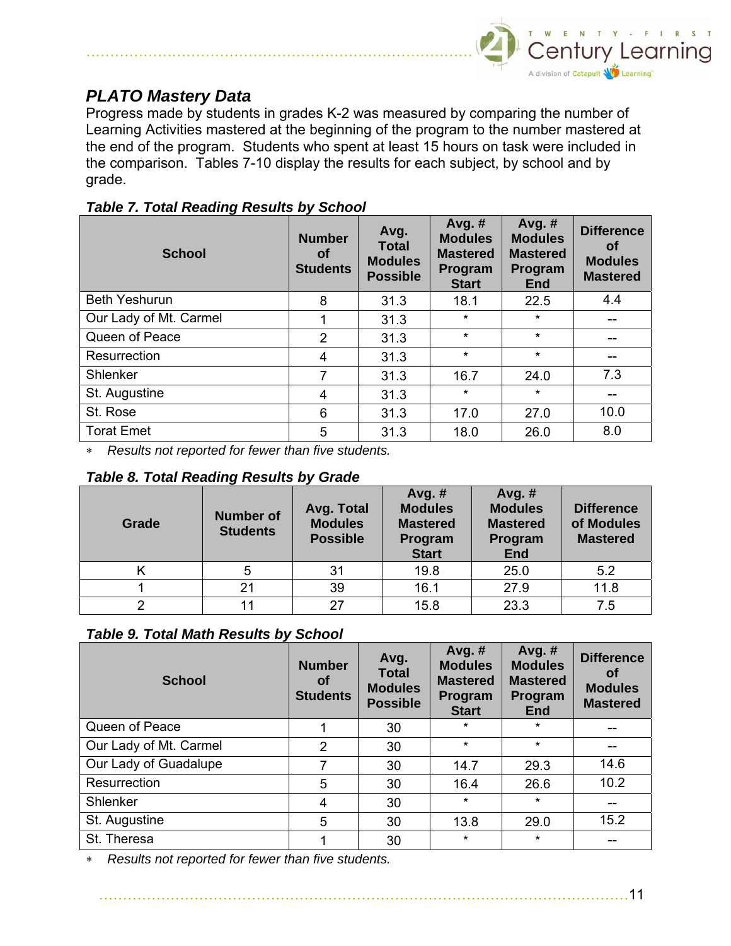

## *PLATO Mastery Data*

………………………………………………………………………

Progress made by students in grades K-2 was measured by comparing the number of Learning Activities mastered at the beginning of the program to the number mastered at the end of the program. Students who spent at least 15 hours on task were included in the comparison. Tables 7-10 display the results for each subject, by school and by grade.

| <b>Table 7. Total Reading Results by School</b> |  |  |  |
|-------------------------------------------------|--|--|--|
|-------------------------------------------------|--|--|--|

| <b>School</b>          | <b>Number</b><br>Οf<br><b>Students</b> | Avg.<br><b>Total</b><br><b>Modules</b><br><b>Possible</b> | Avg. $#$<br><b>Modules</b><br><b>Mastered</b><br>Program<br><b>Start</b> | Avg. $#$<br><b>Modules</b><br><b>Mastered</b><br>Program<br><b>End</b> | <b>Difference</b><br>οf<br><b>Modules</b><br><b>Mastered</b> |
|------------------------|----------------------------------------|-----------------------------------------------------------|--------------------------------------------------------------------------|------------------------------------------------------------------------|--------------------------------------------------------------|
| <b>Beth Yeshurun</b>   | 8                                      | 31.3                                                      | 18.1                                                                     | 22.5                                                                   | 4.4                                                          |
| Our Lady of Mt. Carmel |                                        | 31.3                                                      | $\star$                                                                  | $\star$                                                                | --                                                           |
| Queen of Peace         | $\overline{2}$                         | 31.3                                                      | $\star$                                                                  | $\star$                                                                |                                                              |
| Resurrection           | 4                                      | 31.3                                                      | $\star$                                                                  | $\star$                                                                |                                                              |
| Shlenker               | 7                                      | 31.3                                                      | 16.7                                                                     | 24.0                                                                   | 7.3                                                          |
| St. Augustine          | 4                                      | 31.3                                                      | $\star$                                                                  | $\star$                                                                | $- -$                                                        |
| St. Rose               | 6                                      | 31.3                                                      | 17.0                                                                     | 27.0                                                                   | 10.0                                                         |
| <b>Torat Emet</b>      | 5                                      | 31.3                                                      | 18.0                                                                     | 26.0                                                                   | 8.0                                                          |

*Results not reported for fewer than five students.* 

| Grade | <b>Number of</b><br><b>Students</b> | Avg. Total<br><b>Modules</b><br><b>Possible</b> | Avg. $#$<br><b>Modules</b><br><b>Mastered</b><br>Program<br><b>Start</b> | Avg. #<br><b>Modules</b><br><b>Mastered</b><br>Program<br><b>End</b> | <b>Difference</b><br>of Modules<br><b>Mastered</b> |
|-------|-------------------------------------|-------------------------------------------------|--------------------------------------------------------------------------|----------------------------------------------------------------------|----------------------------------------------------|
|       |                                     | 31                                              | 19.8                                                                     | 25.0                                                                 | 5.2                                                |
|       | 21                                  | 39                                              | 16.1                                                                     | 27.9                                                                 | 11.8                                               |
|       |                                     | 27                                              | 15.8                                                                     | 23.3                                                                 | 7.5                                                |

#### *Table 9. Total Math Results by School*

| <b>School</b>          | <b>Number</b><br>Οf<br><b>Students</b> | Avg.<br><b>Total</b><br><b>Modules</b><br><b>Possible</b> | Avg. $#$<br><b>Modules</b><br><b>Mastered</b><br>Program<br><b>Start</b> | Avg. $#$<br><b>Modules</b><br><b>Mastered</b><br>Program<br><b>End</b> | <b>Difference</b><br><b>of</b><br><b>Modules</b><br><b>Mastered</b> |
|------------------------|----------------------------------------|-----------------------------------------------------------|--------------------------------------------------------------------------|------------------------------------------------------------------------|---------------------------------------------------------------------|
| Queen of Peace         |                                        | 30                                                        | $\star$                                                                  | $\star$                                                                |                                                                     |
| Our Lady of Mt. Carmel | $\overline{2}$                         | 30                                                        | $\star$                                                                  | $\star$                                                                |                                                                     |
| Our Lady of Guadalupe  |                                        | 30                                                        | 14.7                                                                     | 29.3                                                                   | 14.6                                                                |
| Resurrection           | 5                                      | 30                                                        | 16.4                                                                     | 26.6                                                                   | 10.2                                                                |
| Shlenker               | 4                                      | 30                                                        | $\star$                                                                  | $\star$                                                                | --                                                                  |
| St. Augustine          | 5                                      | 30                                                        | 13.8                                                                     | 29.0                                                                   | 15.2                                                                |
| St. Theresa            |                                        | 30                                                        | $\star$                                                                  | $\star$                                                                |                                                                     |

*Results not reported for fewer than five students.*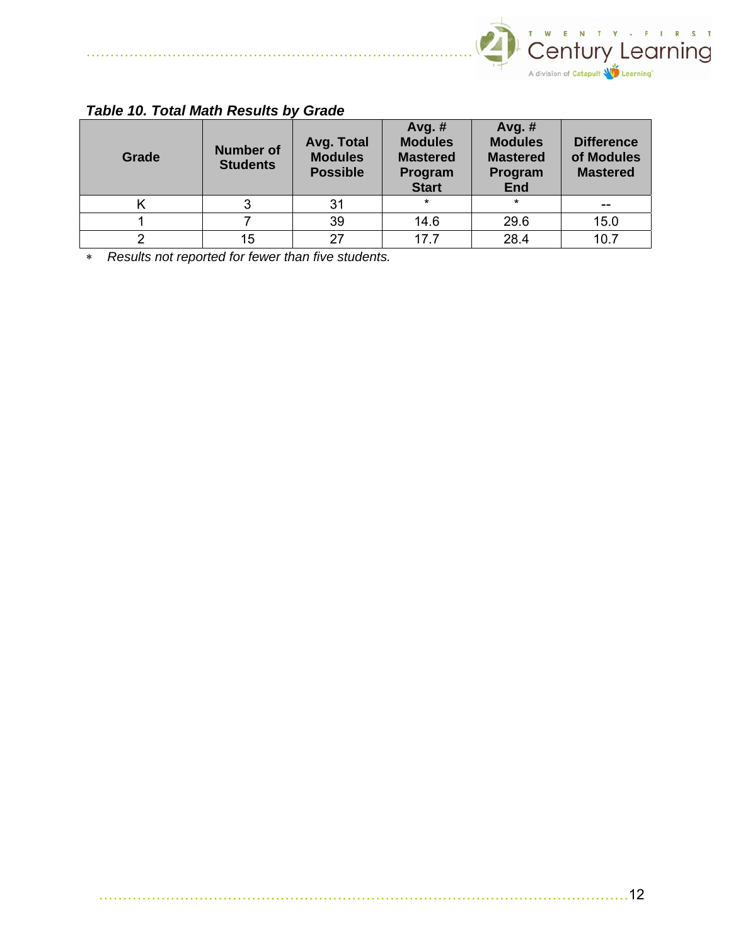

## *Table 10. Total Math Results by Grade*

………………………………………………………………………

| Grade | <b>Number of</b><br><b>Students</b> | Avg. Total<br><b>Modules</b><br><b>Possible</b> | Avg. $#$<br><b>Modules</b><br><b>Mastered</b><br>Program<br><b>Start</b> | Avg. $#$<br><b>Modules</b><br><b>Mastered</b><br>Program<br><b>End</b> | <b>Difference</b><br>of Modules<br><b>Mastered</b> |
|-------|-------------------------------------|-------------------------------------------------|--------------------------------------------------------------------------|------------------------------------------------------------------------|----------------------------------------------------|
|       |                                     | 31                                              | $\star$                                                                  | $\star$                                                                |                                                    |
|       |                                     | 39                                              | 14.6                                                                     | 29.6                                                                   | 15.0                                               |
|       | 15                                  | 27                                              | 177                                                                      | 28.4                                                                   | 10.7                                               |

∗ *Results not reported for fewer than five students.*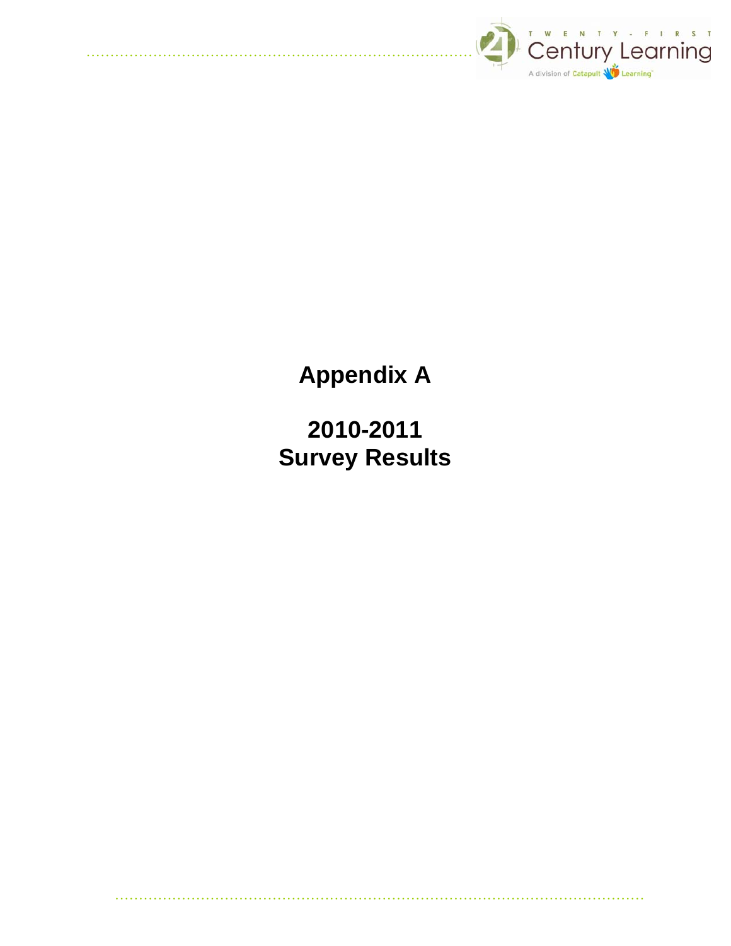

**Appendix A** 

**2010-2011 Survey Results**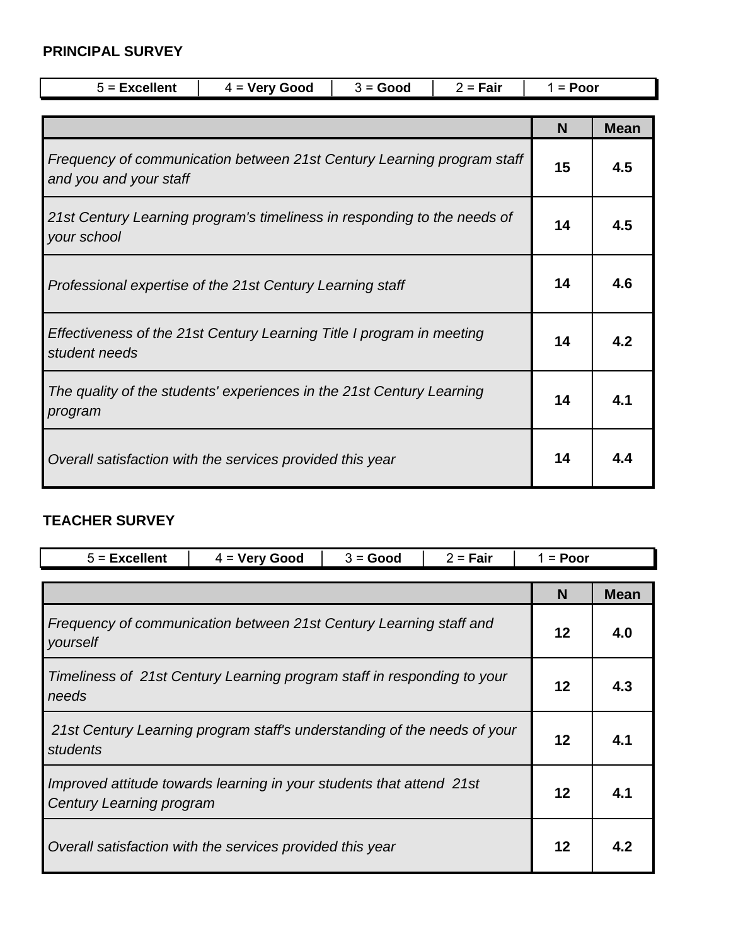### **PRINCIPAL SURVEY**

| $5$ = Excellent                                                                                  | $4 =$ Very Good                                                          | $3 = Good$ | $2 = Fair$ | $1 =$ Poor |             |  |
|--------------------------------------------------------------------------------------------------|--------------------------------------------------------------------------|------------|------------|------------|-------------|--|
|                                                                                                  |                                                                          |            |            |            |             |  |
|                                                                                                  |                                                                          |            |            | N          | <b>Mean</b> |  |
| Frequency of communication between 21st Century Learning program staff<br>and you and your staff |                                                                          |            |            |            | 4.5         |  |
| your school                                                                                      | 21st Century Learning program's timeliness in responding to the needs of |            |            |            | 4.5         |  |
| Professional expertise of the 21st Century Learning staff                                        |                                                                          |            |            |            | 4.6         |  |
| Effectiveness of the 21st Century Learning Title I program in meeting<br>student needs           |                                                                          |            |            |            | 4.2         |  |
| The quality of the students' experiences in the 21st Century Learning<br>program                 |                                                                          |            |            | 14         | 4.1         |  |
| Overall satisfaction with the services provided this year                                        |                                                                          |            |            |            | 4.4         |  |

### **TEACHER SURVEY**

| $5$ = Excellent                                                                                  | $4 =$ Very Good | $3 = Good$ | $2 = Fair$ | $1 = P oor$ |             |
|--------------------------------------------------------------------------------------------------|-----------------|------------|------------|-------------|-------------|
|                                                                                                  |                 |            |            | N           | <b>Mean</b> |
| Frequency of communication between 21st Century Learning staff and<br>yourself                   |                 |            |            |             | 4.0         |
| Timeliness of 21st Century Learning program staff in responding to your<br>needs                 |                 |            |            |             | 4.3         |
| 21st Century Learning program staff's understanding of the needs of your<br>students             |                 |            |            |             | 4.1         |
| Improved attitude towards learning in your students that attend 21st<br>Century Learning program |                 |            |            | 12          | 4.1         |
| Overall satisfaction with the services provided this year                                        |                 |            |            | 12          |             |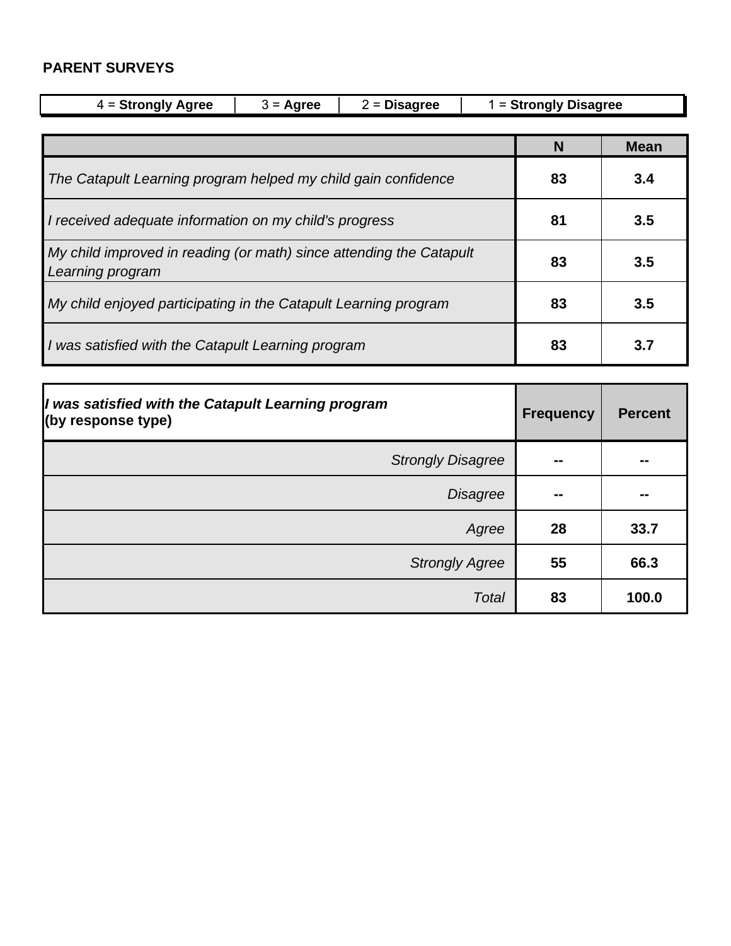### **PARENT SURVEYS**

| $4 =$ Strongly Agree<br>$2 = Disagree$<br>$3 = \text{Agree}$                            |  |    |     | $1 =$ Strongly Disagree |             |
|-----------------------------------------------------------------------------------------|--|----|-----|-------------------------|-------------|
|                                                                                         |  |    |     |                         |             |
|                                                                                         |  |    |     | N                       | <b>Mean</b> |
| The Catapult Learning program helped my child gain confidence                           |  | 83 | 3.4 |                         |             |
| I received adequate information on my child's progress                                  |  | 81 | 3.5 |                         |             |
| My child improved in reading (or math) since attending the Catapult<br>Learning program |  |    |     |                         | 3.5         |
| My child enjoyed participating in the Catapult Learning program                         |  |    |     | 83                      | 3.5         |
| I was satisfied with the Catapult Learning program                                      |  |    |     | 83                      | 3.7         |

| I was satisfied with the Catapult Learning program<br>(by response type) | <b>Frequency</b> | <b>Percent</b> |
|--------------------------------------------------------------------------|------------------|----------------|
| <b>Strongly Disagree</b>                                                 | --               | --             |
| <b>Disagree</b>                                                          | --               | --             |
| Agree                                                                    | 28               | 33.7           |
| <b>Strongly Agree</b>                                                    | 55               | 66.3           |
| Total                                                                    | 83               | 100.0          |